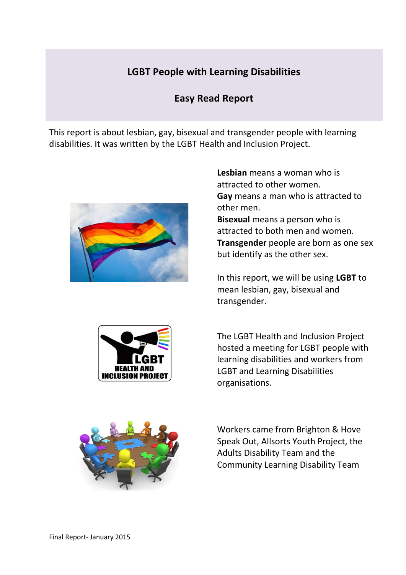# **LGBT People with Learning Disabilities**

# **Easy Read Report**

This report is about lesbian, gay, bisexual and transgender people with learning disabilities. It was written by the LGBT Health and Inclusion Project.



**Lesbian** means a woman who is attracted to other women. **Gay** means a man who is attracted to other men. **Bisexual** means a person who is

attracted to both men and women. **Transgender** people are born as one sex but identify as the other sex.

In this report, we will be using **LGBT** to mean lesbian, gay, bisexual and transgender.



The LGBT Health and Inclusion Project hosted a meeting for LGBT people with learning disabilities and workers from LGBT and Learning Disabilities organisations.



Workers came from Brighton & Hove Speak Out, Allsorts Youth Project, the Adults Disability Team and the Community Learning Disability Team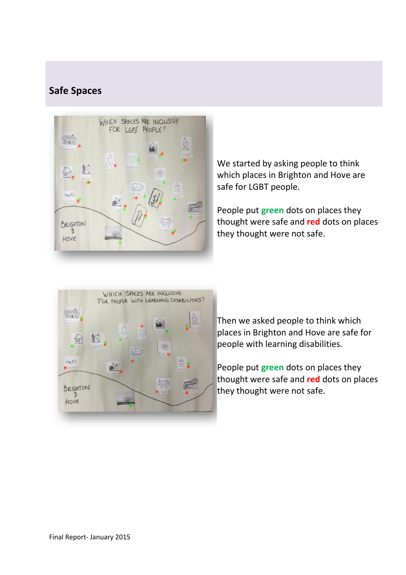# **Safe Spaces**



We started by asking people to think which places in Brighton and Hove are safe for LGBT people.

People put **green** dots on places they thought were safe and **red** dots on places they thought were not safe.



Then we asked people to think which places in Brighton and Hove are safe for people with learning disabilities.

People put **green** dots on places they thought were safe and **red** dots on places they thought were not safe.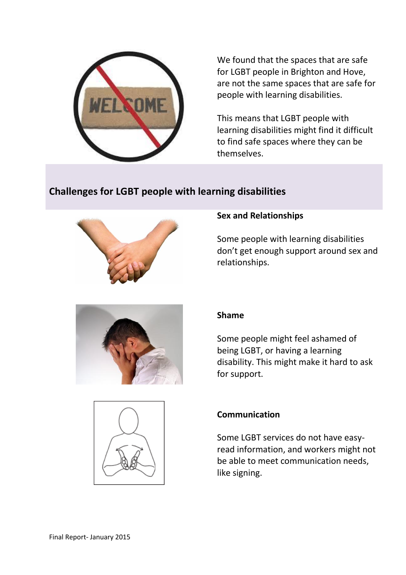

We found that the spaces that are safe for LGBT people in Brighton and Hove, are not the same spaces that are safe for people with learning disabilities.

This means that LGBT people with learning disabilities might find it difficult to find safe spaces where they can be themselves.

# **Challenges for LGBT people with learning disabilities**



## **Sex and Relationships**

Some people with learning disabilities don't get enough support around sex and relationships.



## **Shame**

Some people might feel ashamed of being LGBT, or having a learning disability. This might make it hard to ask for support.



## **Communication**

Some LGBT services do not have easyread information, and workers might not be able to meet communication needs, like signing.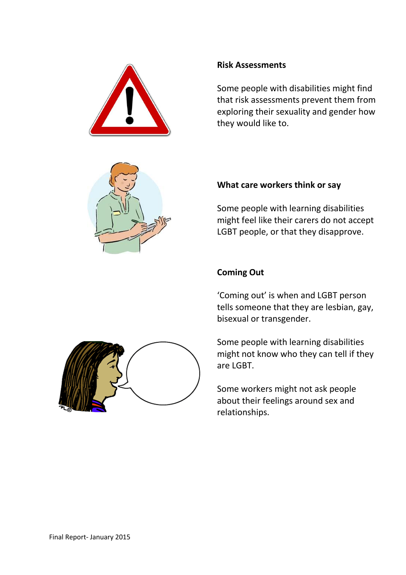



## **Risk Assessments**

Some people with disabilities might find that risk assessments prevent them from exploring their sexuality and gender how they would like to.

## **What care workers think or say**

Some people with learning disabilities might feel like their carers do not accept LGBT people, or that they disapprove.



## **Coming Out**

'Coming out' is when and LGBT person tells someone that they are lesbian, gay, bisexual or transgender.

Some people with learning disabilities might not know who they can tell if they are LGBT.

Some workers might not ask people about their feelings around sex and relationships.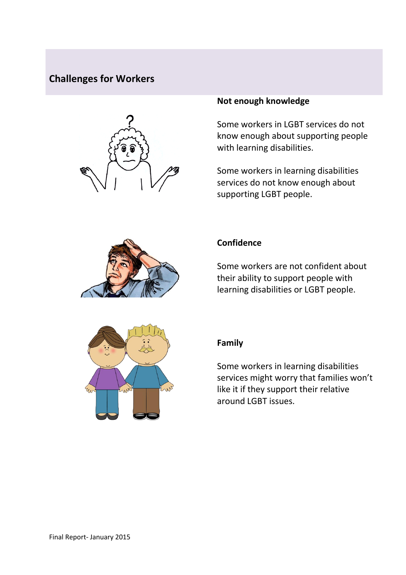## **Challenges for Workers**



### **Not enough knowledge**

Some workers in LGBT services do not know enough about supporting people with learning disabilities.

Some workers in learning disabilities services do not know enough about supporting LGBT people.



### **Confidence**

Some workers are not confident about their ability to support people with learning disabilities or LGBT people.



#### **Family**

Some workers in learning disabilities services might worry that families won't like it if they support their relative around LGBT issues.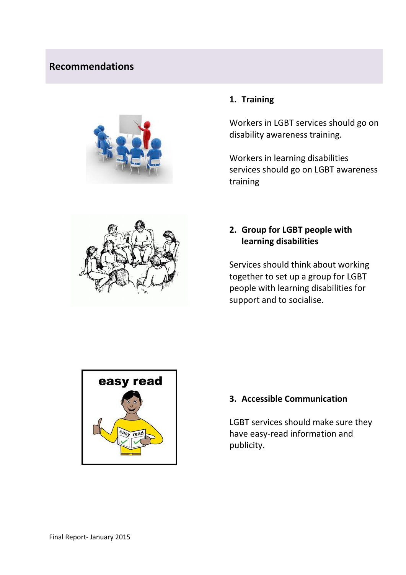# **Recommendations**





## **1. Training**

Workers in LGBT services should go on disability awareness training.

Workers in learning disabilities services should go on LGBT awareness training

## **2. Group for LGBT people with learning disabilities**

Services should think about working together to set up a group for LGBT people with learning disabilities for support and to socialise.



## **3. Accessible Communication**

LGBT services should make sure they have easy-read information and publicity.